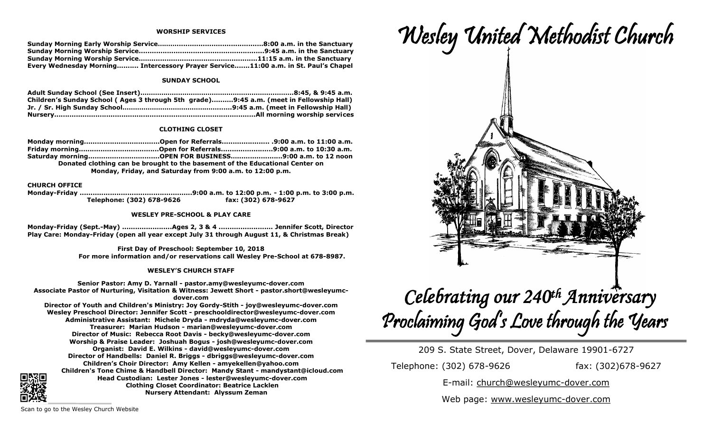#### **WORSHIP SERVICES**

| Every Wednesday Morning Intercessory Prayer Service11:00 a.m. in St. Paul's Chapel |  |
|------------------------------------------------------------------------------------|--|

## **SUNDAY SCHOOL**

| Children's Sunday School (Ages 3 through 5th grade)9:45 a.m. (meet in Fellowship Hall) |
|----------------------------------------------------------------------------------------|
|                                                                                        |
|                                                                                        |

## **CLOTHING CLOSET**

**Monday morning...................................Open for Referrals...................... .9:00 a.m. to 11:00 a.m. Friday morning.....................................Open for Referrals........................9:00 a.m. to 10:30 a.m. Saturday morning.................................OPEN FOR BUSINESS….....................9:00 a.m. to 12 noon Donated clothing can be brought to the basement of the Educational Center on Monday, Friday, and Saturday from 9:00 a.m. to 12:00 p.m.**

# **CHURCH OFFICE**

**Monday-Friday ....................................................9:00 a.m. to 12:00 p.m. - 1:00 p.m. to 3:00 p.m. Telephone: (302) 678-9626 fax: (302) 678-9627**

#### **WESLEY PRE-SCHOOL & PLAY CARE**

**Monday-Friday (Sept.-May) .......................Ages 2, 3 & 4 ......................... Jennifer Scott, Director Play Care: Monday-Friday (open all year except July 31 through August 11, & Christmas Break)**

> **First Day of Preschool: September 10, 2018 For more information and/or reservations call Wesley Pre-School at 678-8987.**

## **WESLEY'S CHURCH STAFF**

**Senior Pastor: Amy D. Yarnall - pastor.amy@wesleyumc-dover.com Associate Pastor of Nurturing, Visitation & Witness: Jewett Short - pastor.short@wesleyumcdover.com Director of Youth and Children's Ministry: Joy Gordy-Stith - joy@wesleyumc-dover.com Wesley Preschool Director: Jennifer Scott - preschooldirector@wesleyumc-dover.com Administrative Assistant: Michele Dryda - mdryda@wesleyumc-dover.com Treasurer: Marian Hudson - marian@wesleyumc-dover.com Director of Music: Rebecca Root Davis - becky@wesleyumc-dover.com Worship & Praise Leader: Joshuah Bogus - josh@wesleyumc-dover.com Organist: David E. Wilkins - david@wesleyumc-dover.com Director of Handbells: Daniel R. Briggs - dbriggs@wesleyumc-dover.com Children's Choir Director: Amy Kellen - amyekellen@yahoo.com Children's Tone Chime & Handbell Director: Mandy Stant - mandystant@icloud.com Head Custodian: Lester Jones - lester@wesleyumc-dover.com Clothing Closet Coordinator: Beatrice Lacklen Nursery Attendant: Alyssum Zeman**



209 S. State Street, Dover, Delaware 19901-6727

Telephone: (302) 678-9626 fax: (302)678-9627

E-mail: church@wesleyumc-dover.com

Web page: www.wesleyumc-dover.com